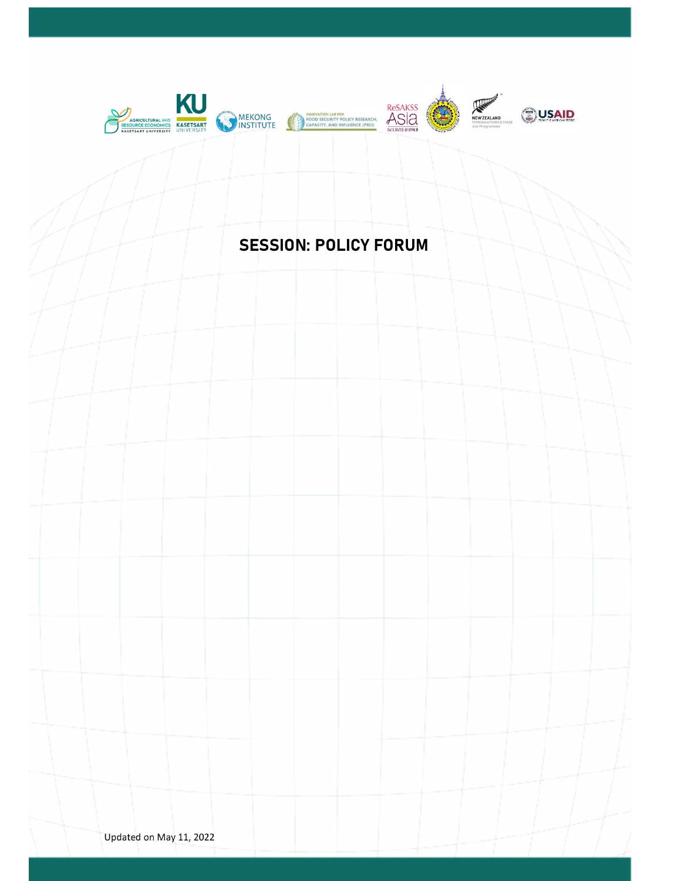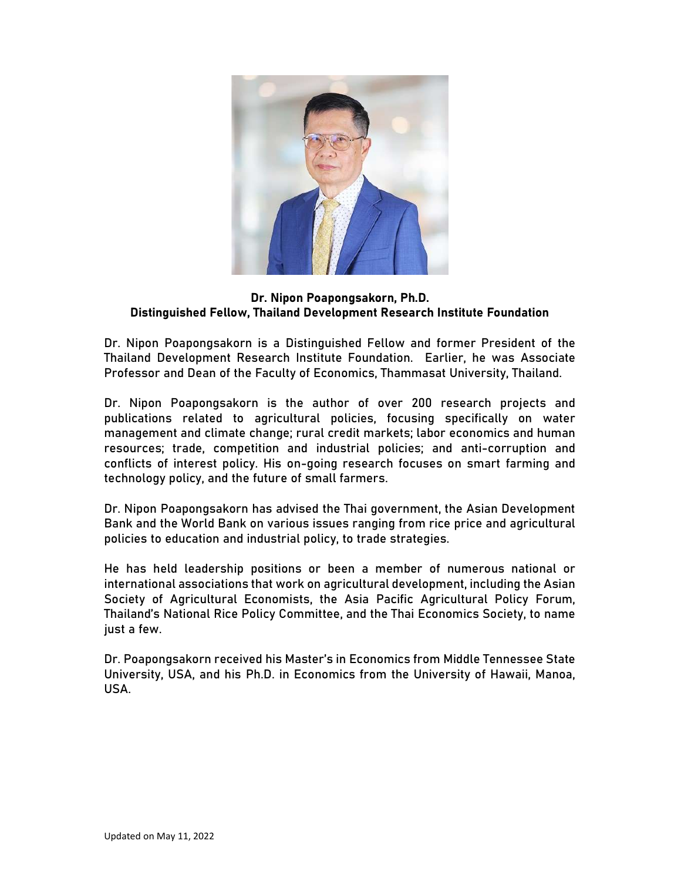

## Dr. Nipon Poapongsakorn, Ph.D. Distinguished Fellow, Thailand Development Research Institute Foundation

Dr. Nipon Poapongsakorn is a Distinguished Fellow and former President of the Thailand Development Research Institute Foundation. Earlier, he was Associate Professor and Dean of the Faculty of Economics, Thammasat University, Thailand.

Dr. Nipon Poapongsakorn is the author of over 200 research projects and publications related to agricultural policies, focusing specifically on water management and climate change; rural credit markets; labor economics and human resources; trade, competition and industrial policies; and anti-corruption and conflicts of interest policy. His on-going research focuses on smart farming and technology policy, and the future of small farmers.

Dr. Nipon Poapongsakorn has advised the Thai government, the Asian Development Bank and the World Bank on various issues ranging from rice price and agricultural policies to education and industrial policy, to trade strategies.

He has held leadership positions or been a member of numerous national or international associations that work on agricultural development, including the Asian Society of Agricultural Economists, the Asia Pacific Agricultural Policy Forum, Thailand's National Rice Policy Committee, and the Thai Economics Society, to name just a few.

Dr. Poapongsakorn received his Master's in Economics from Middle Tennessee State University, USA, and his Ph.D. in Economics from the University of Hawaii, Manoa, USA.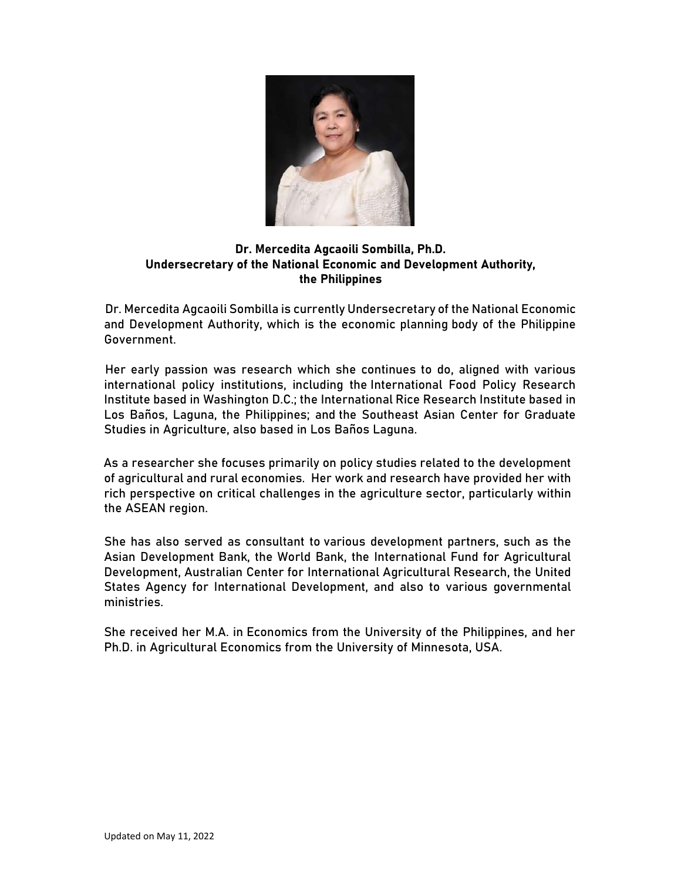

# Dr. Mercedita Agcaoili Sombilla, Ph.D. Undersecretary of the National Economic and Development Authority, the Philippines

Dr. Mercedita Agcaoili Sombilla is currently Undersecretary of the National Economic and Development Authority, which is the economic planning body of the Philippine Government.

Her early passion was research which she continues to do, aligned with various international policy institutions, including the International Food Policy Research Institute based in Washington D.C.; the International Rice Research Institute based in Los Baños, Laguna, the Philippines; and the Southeast Asian Center for Graduate Studies in Agriculture, also based in Los Baños Laguna.

As a researcher she focuses primarily on policy studies related to the development of agricultural and rural economies. Her work and research have provided her with rich perspective on critical challenges in the agriculture sector, particularly within the ASEAN region.

She has also served as consultant to various development partners, such as the Asian Development Bank, the World Bank, the International Fund for Agricultural Development, Australian Center for International Agricultural Research, the United States Agency for International Development, and also to various governmental ministries.

She received her M.A. in Economics from the University of the Philippines, and her Ph.D. in Agricultural Economics from the University of Minnesota, USA.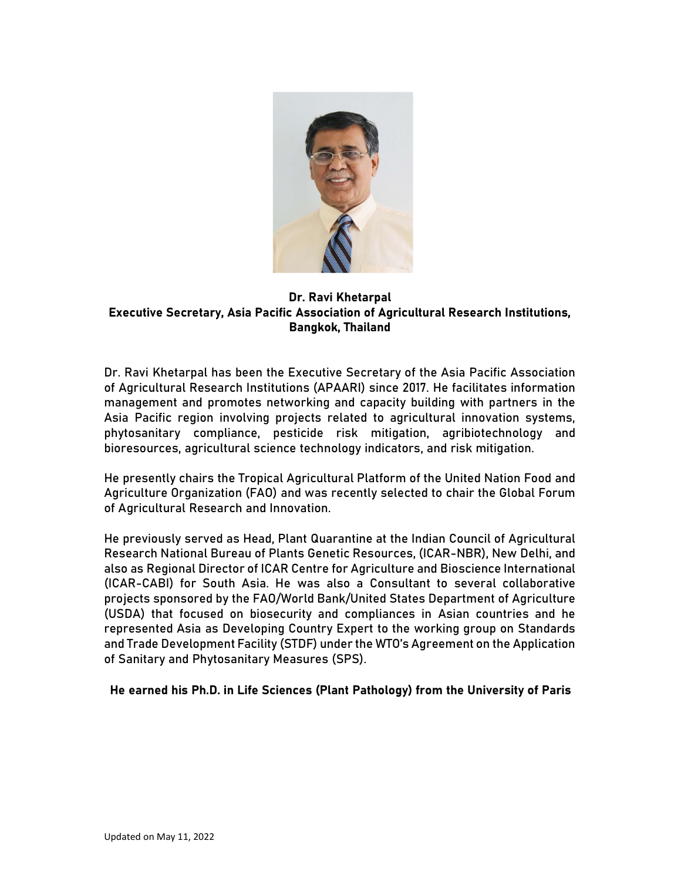

# Dr. Ravi Khetarpal Executive Secretary, Asia Pacific Association of Agricultural Research Institutions, Bangkok, Thailand

Dr. Ravi Khetarpal has been the Executive Secretary of the Asia Pacific Association of Agricultural Research Institutions (APAARI) since 2017. He facilitates information management and promotes networking and capacity building with partners in the Asia Pacific region involving projects related to agricultural innovation systems, phytosanitary compliance, pesticide risk mitigation, agribiotechnology and bioresources, agricultural science technology indicators, and risk mitigation.

He presently chairs the Tropical Agricultural Platform of the United Nation Food and Agriculture Organization (FAO) and was recently selected to chair the Global Forum of Agricultural Research and Innovation.

He previously served as Head, Plant Quarantine at the Indian Council of Agricultural Research National Bureau of Plants Genetic Resources, (ICAR-NBR), New Delhi, and also as Regional Director of ICAR Centre for Agriculture and Bioscience International (ICAR-CABI) for South Asia. He was also a Consultant to several collaborative projects sponsored by the FAO/World Bank/United States Department of Agriculture (USDA) that focused on biosecurity and compliances in Asian countries and he represented Asia as Developing Country Expert to the working group on Standards and Trade Development Facility (STDF) under the WTO's Agreement on the Application of Sanitary and Phytosanitary Measures (SPS).

He earned his Ph.D. in Life Sciences (Plant Pathology) from the University of Paris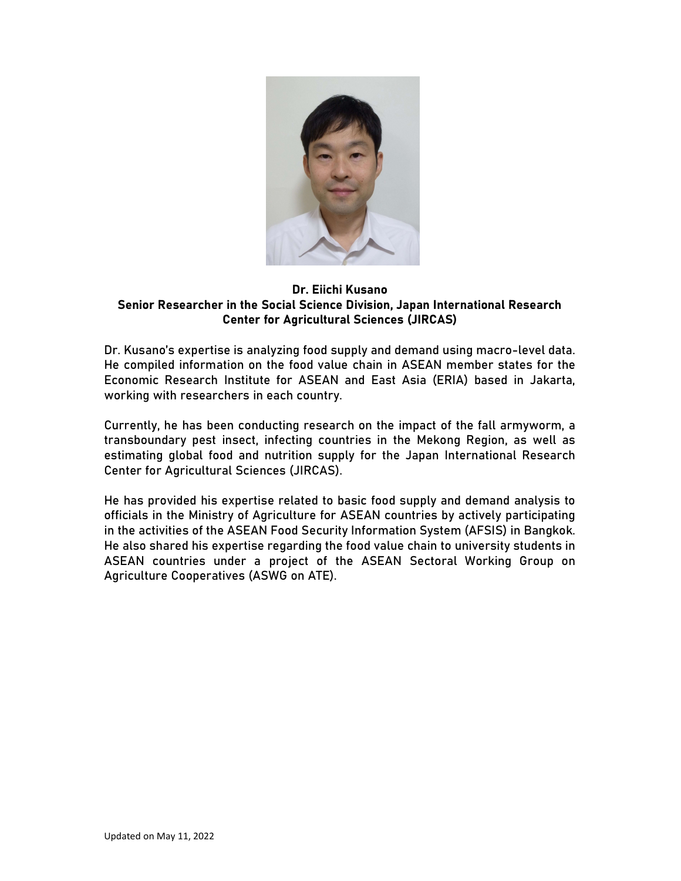

#### Dr. Eiichi Kusano Senior Researcher in the Social Science Division, Japan International Research Center for Agricultural Sciences (JIRCAS)

Dr. Kusano's expertise is analyzing food supply and demand using macro-level data. He compiled information on the food value chain in ASEAN member states for the Economic Research Institute for ASEAN and East Asia (ERIA) based in Jakarta, working with researchers in each country.

Currently, he has been conducting research on the impact of the fall armyworm, a transboundary pest insect, infecting countries in the Mekong Region, as well as estimating global food and nutrition supply for the Japan International Research Center for Agricultural Sciences (JIRCAS).

He has provided his expertise related to basic food supply and demand analysis to officials in the Ministry of Agriculture for ASEAN countries by actively participating in the activities of the ASEAN Food Security Information System (AFSIS) in Bangkok. He also shared his expertise regarding the food value chain to university students in ASEAN countries under a project of the ASEAN Sectoral Working Group on Agriculture Cooperatives (ASWG on ATE).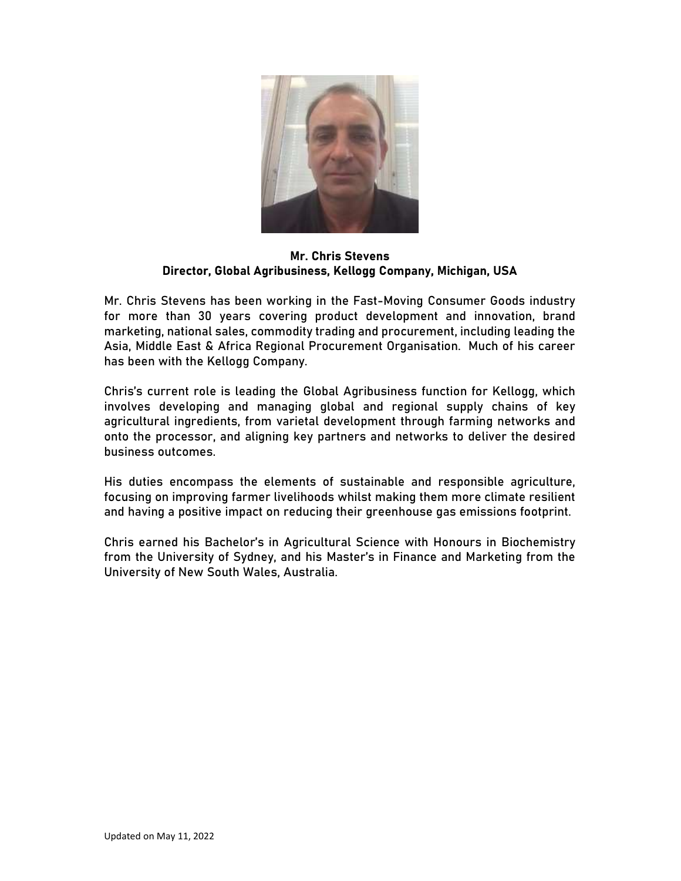

Mr. Chris Stevens Director, Global Agribusiness, Kellogg Company, Michigan, USA

Mr. Chris Stevens has been working in the Fast-Moving Consumer Goods industry for more than 30 years covering product development and innovation, brand marketing, national sales, commodity trading and procurement, including leading the Asia, Middle East & Africa Regional Procurement Organisation. Much of his career has been with the Kellogg Company.

Chris's current role is leading the Global Agribusiness function for Kellogg, which involves developing and managing global and regional supply chains of key agricultural ingredients, from varietal development through farming networks and onto the processor, and aligning key partners and networks to deliver the desired business outcomes.

His duties encompass the elements of sustainable and responsible agriculture, focusing on improving farmer livelihoods whilst making them more climate resilient and having a positive impact on reducing their greenhouse gas emissions footprint.

Chris earned his Bachelor's in Agricultural Science with Honours in Biochemistry from the University of Sydney, and his Master's in Finance and Marketing from the University of New South Wales, Australia.